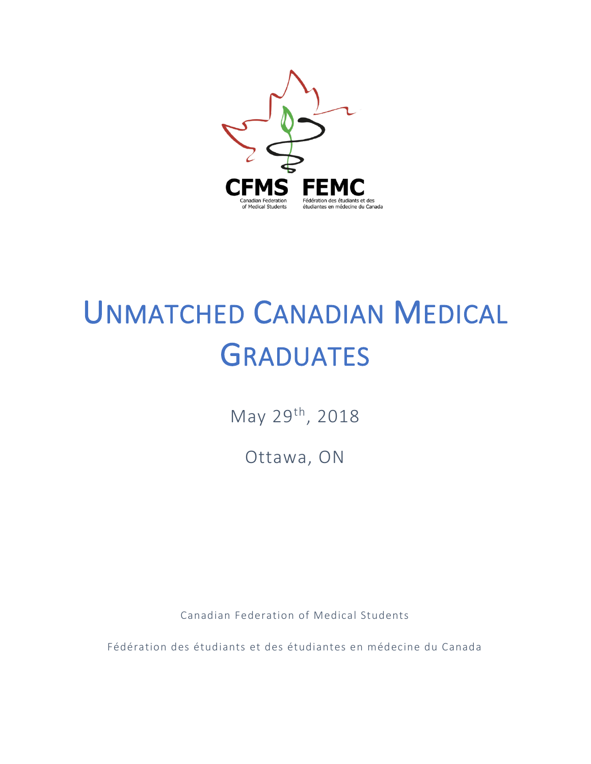

# UNMATCHED CANADIAN MEDICAL GRADUATES

May 29th, 2018

Ottawa, ON

Canadian Federation of Medical Students

Fédération des étudiants et des étudiantes en médecine du Canada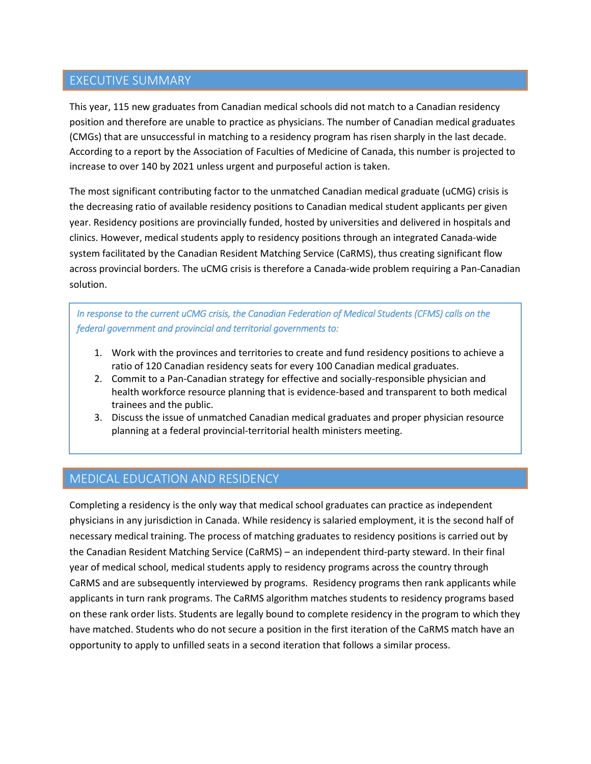#### EXECUTIVE SUMMARY

This year, 115 new graduates from Canadian medical schools did not match to a Canadian residency position and therefore are unable to practice as physicians. The number of Canadian medical graduates (CMGs) that are unsuccessful in matching to a residency program has risen sharply in the last decade. According to a report by the Association of Faculties of Medicine of Canada, this number is projected to increase to over 140 by 2021 unless urgent and purposeful action is taken.

The most significant contributing factor to the unmatched Canadian medical graduate (uCMG) crisis is the decreasing ratio of available residency positions to Canadian medical student applicants per given year. Residency positions are provincially funded, hosted by universities and delivered in hospitals and clinics. However, medical students apply to residency positions through an integrated Canada-wide system facilitated by the Canadian Resident Matching Service (CaRMS), thus creating significant flow across provincial borders. The uCMG crisis is therefore a Canada-wide problem requiring a Pan-Canadian solution.

*In response to the current uCMG crisis, the Canadian Federation of Medical Students (CFMS) calls on the federal government and provincial and territorial governments to:* 

- 1. Work with the provinces and territories to create and fund residency positions to achieve a ratio of 120 Canadian residency seats for every 100 Canadian medical graduates.
- 2. Commit to a Pan-Canadian strategy for effective and socially-responsible physician and health workforce resource planning that is evidence-based and transparent to both medical trainees and the public.
- 3. Discuss the issue of unmatched Canadian medical graduates and proper physician resource planning at a federal provincial-territorial health ministers meeting.

#### MEDICAL EDUCATION AND RESIDENCY

Completing a residency is the only way that medical school graduates can practice as independent physicians in any jurisdiction in Canada. While residency is salaried employment, it is the second half of necessary medical training. The process of matching graduates to residency positions is carried out by the Canadian Resident Matching Service (CaRMS) – an independent third-party steward. In their final year of medical school, medical students apply to residency programs across the country through CaRMS and are subsequently interviewed by programs. Residency programs then rank applicants while applicants in turn rank programs. The CaRMS algorithm matches students to residency programs based on these rank order lists. Students are legally bound to complete residency in the program to which they have matched. Students who do not secure a position in the first iteration of the CaRMS match have an opportunity to apply to unfilled seats in a second iteration that follows a similar process.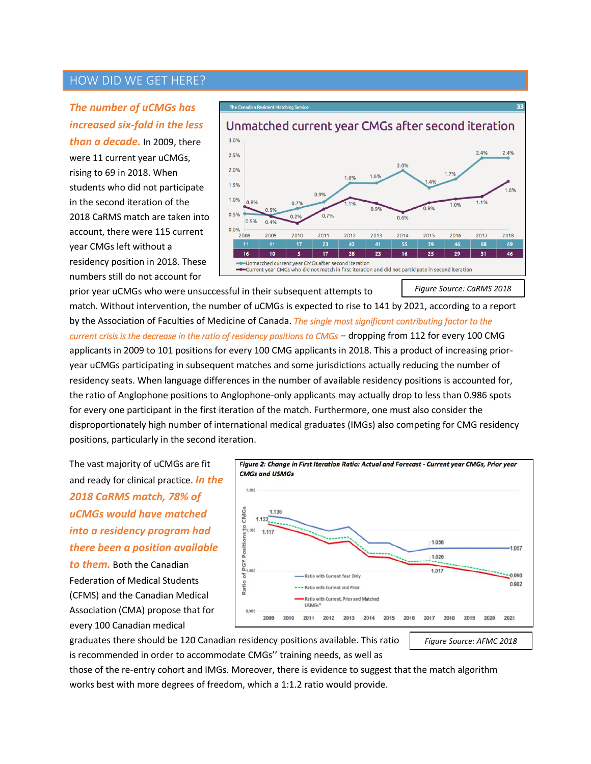#### HOW DID WE GET HERE?

#### *The number of uCMGs has increased six-fold in the less*

*than a decade.* In 2009, there were 11 current year uCMGs, rising to 69 in 2018. When students who did not participate in the second iteration of the 2018 CaRMS match are taken into account, there were 115 current year CMGs left without a residency position in 2018. These numbers still do not account for



prior year uCMGs who were unsuccessful in their subsequent attempts to match. Without intervention, the number of uCMGs is expected to rise to 141 by 2021, according to a report by the Association of Faculties of Medicine of Canada. *The single most significant contributing factor to the current crisis is the decrease in the ratio of residency positions to CMGs* – dropping from 112 for every 100 CMG applicants in 2009 to 101 positions for every 100 CMG applicants in 2018. This a product of increasing prioryear uCMGs participating in subsequent matches and some jurisdictions actually reducing the number of residency seats. When language differences in the number of available residency positions is accounted for, the ratio of Anglophone positions to Anglophone-only applicants may actually drop to less than 0.986 spots for every one participant in the first iteration of the match. Furthermore, one must also consider the disproportionately high number of international medical graduates (IMGs) also competing for CMG residency positions, particularly in the second iteration. *Figure Source: CaRMS 2018*

The vast majority of uCMGs are fit and ready for clinical practice. *In the 2018 CaRMS match, 78% of uCMGs would have matched into a residency program had there been a position available* 

*to them.* Both the Canadian Federation of Medical Students (CFMS) and the Canadian Medical Association (CMA) propose that for every 100 Canadian medical



graduates there should be 120 Canadian residency positions available. This ratio is recommended in order to accommodate CMGs'' training needs, as well as

*Figure Source: AFMC 2018*

those of the re-entry cohort and IMGs. Moreover, there is evidence to suggest that the match algorithm works best with more degrees of freedom, which a 1:1.2 ratio would provide.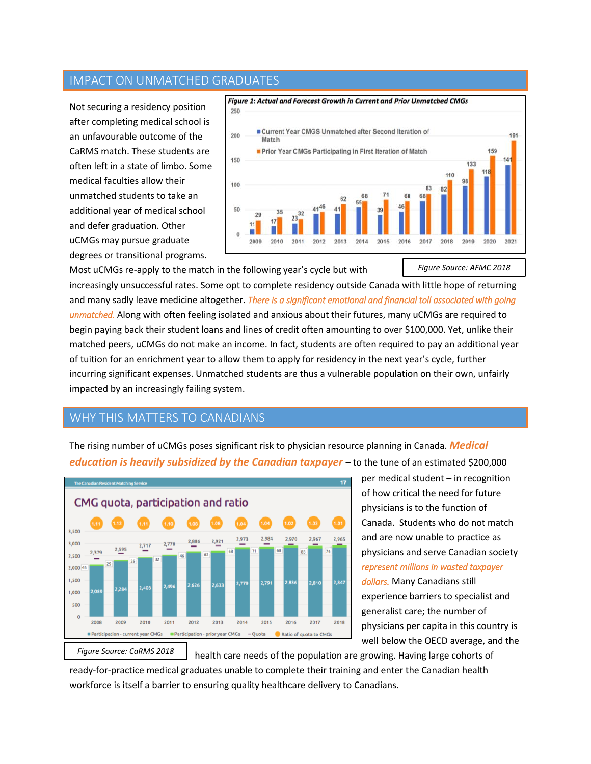#### IMPACT ON UNMATCHED GRADUATES

Not securing a residency position after completing medical school is an unfavourable outcome of the CaRMS match. These students are often left in a state of limbo. Some medical faculties allow their unmatched students to take an additional year of medical school and defer graduation. Other uCMGs may pursue graduate degrees or transitional programs.



Most uCMGs re-apply to the match in the following year's cycle but with increasingly unsuccessful rates. Some opt to complete residency outside Canada with little hope of returning and many sadly leave medicine altogether. *There is a significant emotional and financial toll associated with going unmatched.* Along with often feeling isolated and anxious about their futures, many uCMGs are required to begin paying back their student loans and lines of credit often amounting to over \$100,000. Yet, unlike their matched peers, uCMGs do not make an income. In fact, students are often required to pay an additional year of tuition for an enrichment year to allow them to apply for residency in the next year's cycle, further incurring significant expenses. Unmatched students are thus a vulnerable population on their own, unfairly impacted by an increasingly failing system. *Figure Source: AFMC 2018*

#### WHY THIS MATTERS TO CANADIANS

The rising number of uCMGs poses significant risk to physician resource planning in Canada. *Medical education is heavily subsidized by the Canadian taxpayer* – to the tune of an estimated \$200,000



per medical student – in recognition of how critical the need for future physicians is to the function of Canada. Students who do not match and are now unable to practice as physicians and serve Canadian society *represent millions in wasted taxpayer dollars.* Many Canadians still experience barriers to specialist and generalist care; the number of physicians per capita in this country is well below the OECD average, and the

health care needs of the population are growing. Having large cohorts of ready-for-practice medical graduates unable to complete their training and enter the Canadian health workforce is itself a barrier to ensuring quality healthcare delivery to Canadians.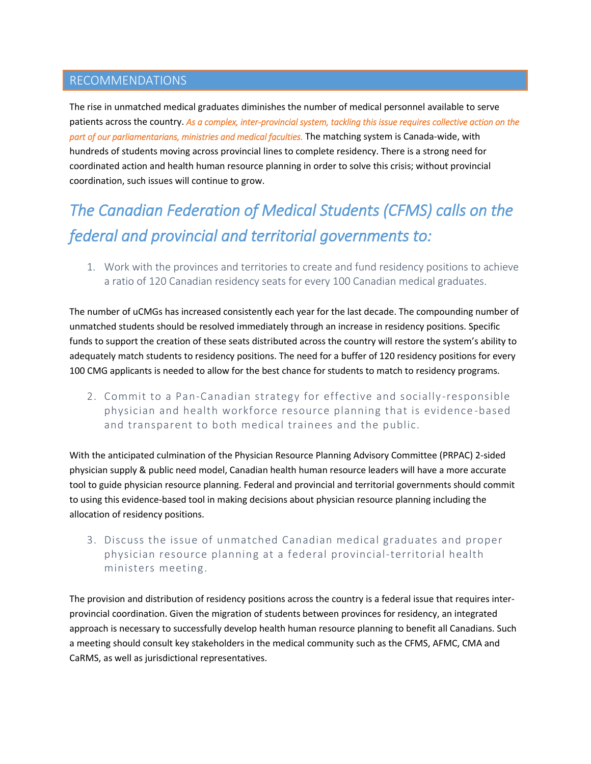#### RECOMMENDATIONS

The rise in unmatched medical graduates diminishes the number of medical personnel available to serve patients across the country. *As a complex, inter-provincial system, tackling this issue requires collective action on the part of our parliamentarians, ministries and medical faculties.* The matching system is Canada-wide, with hundreds of students moving across provincial lines to complete residency. There is a strong need for coordinated action and health human resource planning in order to solve this crisis; without provincial coordination, such issues will continue to grow.

## *The Canadian Federation of Medical Students (CFMS) calls on the federal and provincial and territorial governments to:*

1. Work with the provinces and territories to create and fund residency positions to achieve a ratio of 120 Canadian residency seats for every 100 Canadian medical graduates.

The number of uCMGs has increased consistently each year for the last decade. The compounding number of unmatched students should be resolved immediately through an increase in residency positions. Specific funds to support the creation of these seats distributed across the country will restore the system's ability to adequately match students to residency positions. The need for a buffer of 120 residency positions for every 100 CMG applicants is needed to allow for the best chance for students to match to residency programs.

2. Commit to a Pan-Canadian strategy for effective and socially -responsible physician and health workforce resource planning that is evidence -based and transparent to both medical trainees and the public.

With the anticipated culmination of the Physician Resource Planning Advisory Committee (PRPAC) 2-sided physician supply & public need model, Canadian health human resource leaders will have a more accurate tool to guide physician resource planning. Federal and provincial and territorial governments should commit to using this evidence-based tool in making decisions about physician resource planning including the allocation of residency positions.

3. Discuss the issue of unmatched Canadian medical graduates and proper physician resource planning at a federal provincial-territorial health ministers meeting.

The provision and distribution of residency positions across the country is a federal issue that requires interprovincial coordination. Given the migration of students between provinces for residency, an integrated approach is necessary to successfully develop health human resource planning to benefit all Canadians. Such a meeting should consult key stakeholders in the medical community such as the CFMS, AFMC, CMA and CaRMS, as well as jurisdictional representatives.